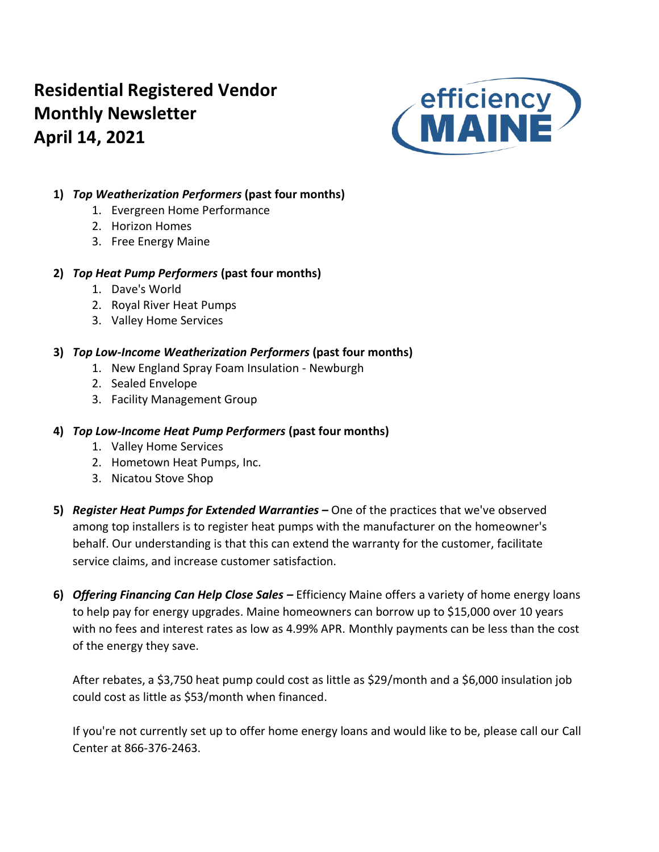# **Residential Registered Vendor Monthly Newsletter April 14, 2021**



# **1)** *Top Weatherization Performers* **(past four months)**

- 1. Evergreen Home Performance
- 2. Horizon Homes
- 3. Free Energy Maine

## **2)** *Top Heat Pump Performers* **(past four months)**

- 1. Dave's World
- 2. Royal River Heat Pumps
- 3. Valley Home Services

## **3)** *Top Low-Income Weatherization Performers* **(past four months)**

- 1. New England Spray Foam Insulation Newburgh
- 2. Sealed Envelope
- 3. Facility Management Group

# **4)** *Top Low-Income Heat Pump Performers* **(past four months)**

- 1. Valley Home Services
- 2. Hometown Heat Pumps, Inc.
- 3. Nicatou Stove Shop
- **5)** *Register Heat Pumps for Extended Warranties –* One of the practices that we've observed among top installers is to register heat pumps with the manufacturer on the homeowner's behalf. Our understanding is that this can extend the warranty for the customer, facilitate service claims, and increase customer satisfaction.
- **6)** *Offering Financing Can Help Close Sales –* Efficiency Maine offers a variety of home energy loans to help pay for energy upgrades. Maine homeowners can borrow up to \$15,000 over 10 years with no fees and interest rates as low as 4.99% APR. Monthly payments can be less than the cost of the energy they save.

After rebates, a \$3,750 heat pump could cost as little as \$29/month and a \$6,000 insulation job could cost as little as \$53/month when financed.

If you're not currently set up to offer home energy loans and would like to be, please call our Call Center at 866-376-2463.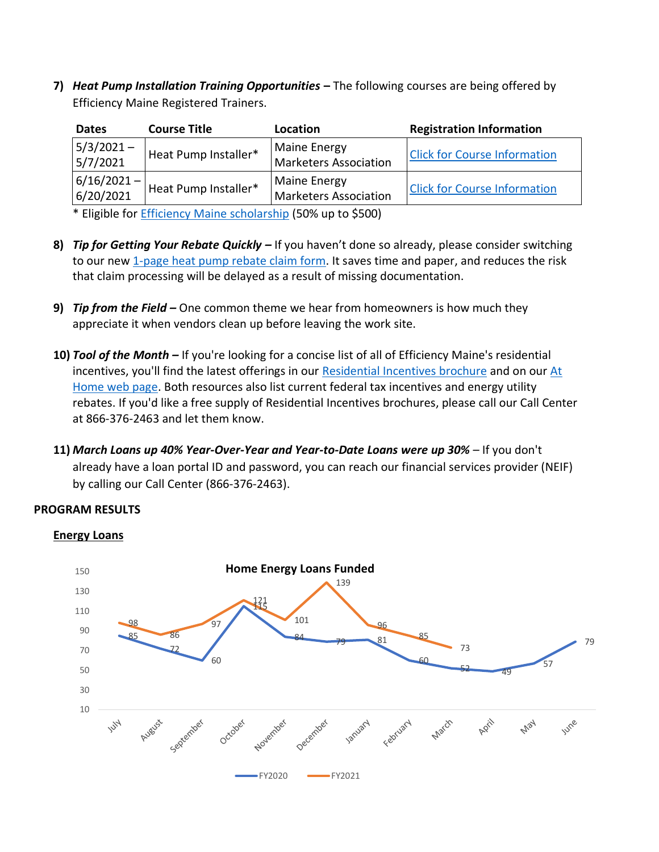**7)** *Heat Pump Installation Training Opportunities* **–** The following courses are being offered by Efficiency Maine Registered Trainers.

| <b>Dates</b>               | <b>Course Title</b>  | Location                                            | <b>Registration Information</b>     |
|----------------------------|----------------------|-----------------------------------------------------|-------------------------------------|
| $5/3/2021 -$<br>5/7/2021   | Heat Pump Installer* | <b>Maine Energy</b><br><b>Marketers Association</b> | <b>Click for Course Information</b> |
| $6/16/2021 -$<br>6/20/2021 | Heat Pump Installer* | <b>Maine Energy</b><br><b>Marketers Association</b> | <b>Click for Course Information</b> |

\* Eligible for [Efficiency Maine scholarship](https://www.efficiencymaine.com/docs/RRV-Heat-Pump-Training-Scholarship-Application.pdf) (50% up to \$500)

- **8)** *Tip for Getting Your Rebate Quickly –* If you haven't done so already, please consider switching to our new [1-page heat pump rebate claim form.](https://www.efficiencymaine.com/docs/Residential-Heat-Pump-Rebate-Claim-Form.pdf) It saves time and paper, and reduces the risk that claim processing will be delayed as a result of missing documentation.
- **9)** *Tip from the Field –* One common theme we hear from homeowners is how much they appreciate it when vendors clean up before leaving the work site.
- **10)** *Tool of the Month –* If you're looking for a concise list of all of Efficiency Maine's residential incentives, you'll find the latest offerings in our [Residential Incentives brochure](https://www.efficiencymaine.com/docs/All-Programs-Brochure.pdf) and on our [At](https://www.efficiencymaine.com/at-home/)  [Home web page.](https://www.efficiencymaine.com/at-home/) Both resources also list current federal tax incentives and energy utility rebates. If you'd like a free supply of Residential Incentives brochures, please call our Call Center at 866-376-2463 and let them know.
- **11)** *March Loans up 40% Year-Over-Year and Year-to-Date Loans were up 30% –* If you don't already have a loan portal ID and password, you can reach our financial services provider (NEIF) by calling our Call Center (866-376-2463).

### **PROGRAM RESULTS**



#### **Energy Loans**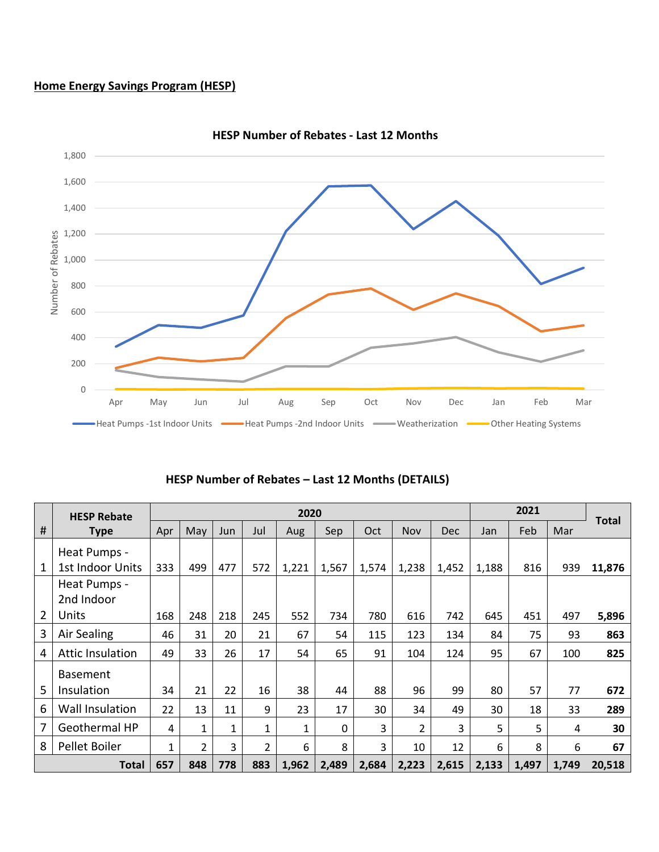# **Home Energy Savings Program (HESP)**



**HESP Number of Rebates - Last 12 Months**

|  |  | HESP Number of Rebates - Last 12 Months (DETAILS) |  |  |  |
|--|--|---------------------------------------------------|--|--|--|
|--|--|---------------------------------------------------|--|--|--|

|      | <b>HESP Rebate</b>               |     | 2020           |              |                |              |             |       |       |            |       |       | 2021  |              |  |  |
|------|----------------------------------|-----|----------------|--------------|----------------|--------------|-------------|-------|-------|------------|-------|-------|-------|--------------|--|--|
| $\#$ | <b>Type</b>                      | Apr | May            | Jun          | Jul            | Aug          | Sep         | Oct   | Nov   | <b>Dec</b> | Jan   | Feb   | Mar   | <b>Total</b> |  |  |
| 1    | Heat Pumps -<br>1st Indoor Units | 333 | 499            | 477          | 572            | 1,221        | 1,567       | 1,574 | 1,238 | 1,452      | 1,188 | 816   | 939   | 11,876       |  |  |
|      | Heat Pumps -<br>2nd Indoor       |     |                |              |                |              |             |       |       |            |       |       |       |              |  |  |
| 2    | Units                            | 168 | 248            | 218          | 245            | 552          | 734         | 780   | 616   | 742        | 645   | 451   | 497   | 5,896        |  |  |
| 3    | Air Sealing                      | 46  | 31             | 20           | 21             | 67           | 54          | 115   | 123   | 134        | 84    | 75    | 93    | 863          |  |  |
| 4    | <b>Attic Insulation</b>          | 49  | 33             | 26           | 17             | 54           | 65          | 91    | 104   | 124        | 95    | 67    | 100   | 825          |  |  |
| 5    | <b>Basement</b><br>Insulation    | 34  | 21             | 22           | 16             | 38           | 44          | 88    | 96    | 99         | 80    | 57    | 77    | 672          |  |  |
| 6    | Wall Insulation                  | 22  | 13             | 11           | 9              | 23           | 17          | 30    | 34    | 49         | 30    | 18    | 33    | 289          |  |  |
| 7    | Geothermal HP                    | 4   | 1              | $\mathbf{1}$ | $\mathbf{1}$   | $\mathbf{1}$ | $\mathbf 0$ | 3     | 2     | 3          | 5     | 5     | 4     | 30           |  |  |
| 8    | Pellet Boiler                    | 1   | $\overline{2}$ | 3            | $\overline{2}$ | 6            | 8           | 3     | 10    | 12         | 6     | 8     | 6     | 67           |  |  |
|      | <b>Total</b>                     | 657 | 848            | 778          | 883            | 1,962        | 2,489       | 2,684 | 2,223 | 2,615      | 2,133 | 1,497 | 1,749 | 20,518       |  |  |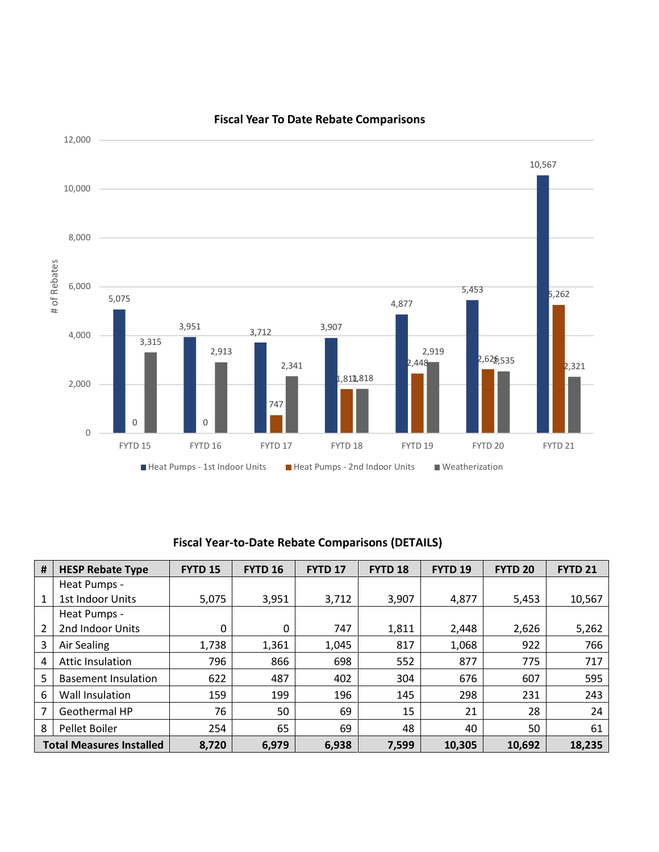

#### **Fiscal Year To Date Rebate Comparisons**

# **Fiscal Year-to-Date Rebate Comparisons (DETAILS)**

| #                               | <b>HESP Rebate Type</b>    | <b>FYTD 15</b> | <b>FYTD 16</b> | FYTD <sub>17</sub> | FYTD <sub>18</sub> | <b>FYTD 19</b> | <b>FYTD 20</b> | <b>FYTD 21</b> |  |
|---------------------------------|----------------------------|----------------|----------------|--------------------|--------------------|----------------|----------------|----------------|--|
|                                 | Heat Pumps -               |                |                |                    |                    |                |                |                |  |
| $\mathbf{1}$                    | 1st Indoor Units           | 5,075          | 3,951          | 3,712              | 3,907              | 4,877          | 5,453          | 10,567         |  |
|                                 | Heat Pumps -               |                |                |                    |                    |                |                |                |  |
| 2                               | 2nd Indoor Units           | 0              | 0              | 747                | 1,811              | 2,448          | 2,626          | 5,262          |  |
| 3                               | Air Sealing                | 1,738          | 1,361          | 1,045              | 817                | 1,068          | 922            | 766            |  |
| 4                               | <b>Attic Insulation</b>    | 796            | 866            | 698                | 552                | 877            | 775            | 717            |  |
| 5                               | <b>Basement Insulation</b> | 622            | 487            | 402                | 304                | 676            | 607            | 595            |  |
| 6                               | Wall Insulation            | 159            | 199            | 196                | 145                | 298            | 231            | 243            |  |
| $\overline{7}$                  | Geothermal HP              | 76             | 50             | 69                 | 15                 | 21             | 28             | 24             |  |
| 8                               | Pellet Boiler              | 254            | 65             | 69                 | 48                 | 40             | 50             | 61             |  |
| <b>Total Measures Installed</b> |                            | 8,720          | 6,979          | 6,938              | 7,599              | 10,305         | 10,692         | 18,235         |  |